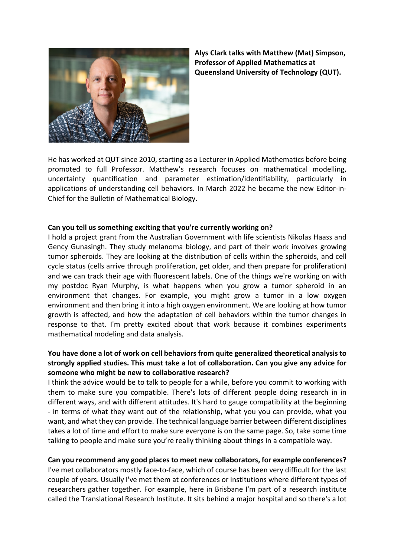

**Alys Clark talks with Matthew (Mat) Simpson, Professor of Applied Mathematics at Queensland University of Technology (QUT).**

He has worked at QUT since 2010, starting as a Lecturer in Applied Mathematics before being promoted to full Professor. Matthew's research focuses on mathematical modelling, uncertainty quantification and parameter estimation/identifiability, particularly in applications of understanding cell behaviors. In March 2022 he became the new Editor-in-Chief for the Bulletin of Mathematical Biology.

### **Can you tell us something exciting that you're currently working on?**

I hold a project grant from the Australian Government with life scientists Nikolas Haass and Gency Gunasingh. They study melanoma biology, and part of their work involves growing tumor spheroids. They are looking at the distribution of cells within the spheroids, and cell cycle status (cells arrive through proliferation, get older, and then prepare for proliferation) and we can track their age with fluorescent labels. One of the things we're working on with my postdoc Ryan Murphy, is what happens when you grow a tumor spheroid in an environment that changes. For example, you might grow a tumor in a low oxygen environment and then bring it into a high oxygen environment. We are looking at how tumor growth is affected, and how the adaptation of cell behaviors within the tumor changes in response to that. I'm pretty excited about that work because it combines experiments mathematical modeling and data analysis.

# **You have done a lot of work on cell behaviors from quite generalized theoretical analysis to strongly applied studies. This must take a lot of collaboration. Can you give any advice for someone who might be new to collaborative research?**

I think the advice would be to talk to people for a while, before you commit to working with them to make sure you compatible. There's lots of different people doing research in in different ways, and with different attitudes. It's hard to gauge compatibility at the beginning - in terms of what they want out of the relationship, what you you can provide, what you want, and what they can provide. The technical language barrier between different disciplines takes a lot of time and effort to make sure everyone is on the same page. So, take some time talking to people and make sure you're really thinking about things in a compatible way.

### **Can you recommend any good places to meet new collaborators, for example conferences?**

I've met collaborators mostly face-to-face, which of course has been very difficult for the last couple of years. Usually I've met them at conferences or institutions where different types of researchers gather together. For example, here in Brisbane I'm part of a research institute called the Translational Research Institute. It sits behind a major hospital and so there's a lot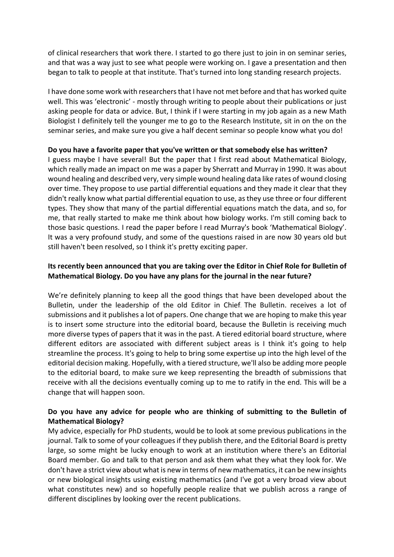of clinical researchers that work there. I started to go there just to join in on seminar series, and that was a way just to see what people were working on. I gave a presentation and then began to talk to people at that institute. That's turned into long standing research projects.

I have done some work with researchers that I have not met before and that has worked quite well. This was 'electronic' - mostly through writing to people about their publications or just asking people for data or advice. But, I think if I were starting in my job again as a new Math Biologist I definitely tell the younger me to go to the Research Institute, sit in on the on the seminar series, and make sure you give a half decent seminar so people know what you do!

## **Do you have a favorite paper that you've written or that somebody else has written?**

I guess maybe I have several! But the paper that I first read about Mathematical Biology, which really made an impact on me was a paper by Sherratt and Murray in 1990. It was about wound healing and described very, very simple wound healing data like rates of wound closing over time. They propose to use partial differential equations and they made it clear that they didn't really know what partial differential equation to use, as they use three or four different types. They show that many of the partial differential equations match the data, and so, for me, that really started to make me think about how biology works. I'm still coming back to those basic questions. I read the paper before I read Murray's book 'Mathematical Biology'. It was a very profound study, and some of the questions raised in are now 30 years old but still haven't been resolved, so I think it's pretty exciting paper.

## **Its recently been announced that you are taking over the Editor in Chief Role for Bulletin of Mathematical Biology. Do you have any plans for the journal in the near future?**

We're definitely planning to keep all the good things that have been developed about the Bulletin, under the leadership of the old Editor in Chief. The Bulletin. receives a lot of submissions and it publishes a lot of papers. One change that we are hoping to make this year is to insert some structure into the editorial board, because the Bulletin is receiving much more diverse types of papers that it was in the past. A tiered editorial board structure, where different editors are associated with different subject areas is I think it's going to help streamline the process. It's going to help to bring some expertise up into the high level of the editorial decision making. Hopefully, with a tiered structure, we'll also be adding more people to the editorial board, to make sure we keep representing the breadth of submissions that receive with all the decisions eventually coming up to me to ratify in the end. This will be a change that will happen soon.

# **Do you have any advice for people who are thinking of submitting to the Bulletin of Mathematical Biology?**

My advice, especially for PhD students, would be to look at some previous publications in the journal. Talk to some of your colleagues if they publish there, and the Editorial Board is pretty large, so some might be lucky enough to work at an institution where there's an Editorial Board member. Go and talk to that person and ask them what they what they look for. We don't have a strict view about what is new in terms of new mathematics, it can be new insights or new biological insights using existing mathematics (and I've got a very broad view about what constitutes new) and so hopefully people realize that we publish across a range of different disciplines by looking over the recent publications.